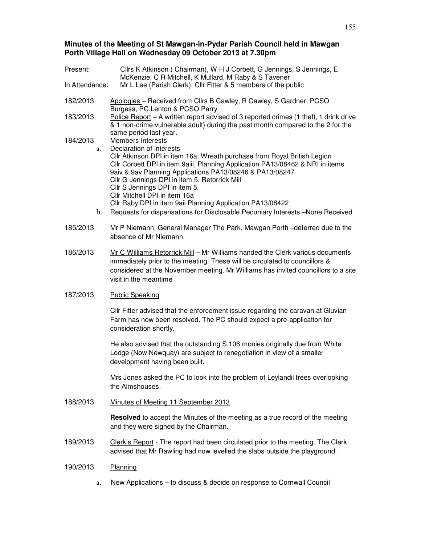# **Minutes of the Meeting of St Mawgan-in-Pydar Parish Council held in Mawgan Porth Village Hall on Wednesday 09 October 2013 at 7.30pm**

| Present:                                                                         | Cllrs K Atkinson (Chairman), W H J Corbett, G Jennings, S Jennings, E<br>McKenzie, C R Mitchell, K Mullard, M Raby & S Tavener                                                                                                                                                                                                                                                                                                                                                                                                                                       |  |  |  |
|----------------------------------------------------------------------------------|----------------------------------------------------------------------------------------------------------------------------------------------------------------------------------------------------------------------------------------------------------------------------------------------------------------------------------------------------------------------------------------------------------------------------------------------------------------------------------------------------------------------------------------------------------------------|--|--|--|
| Mr L Lee (Parish Clerk), Cllr Fitter & 5 members of the public<br>In Attendance: |                                                                                                                                                                                                                                                                                                                                                                                                                                                                                                                                                                      |  |  |  |
| 182/2013<br>183/2013                                                             | Apologies - Received from Cllrs B Cawley, R Cawley, S Gardner, PCSO<br>Burgess, PC Lenton & PCSO Parry<br>Police Report - A written report advised of 3 reported crimes (1 theft, 1 drink drive<br>& 1 non-crime vulnerable adult) during the past month compared to the 2 for the                                                                                                                                                                                                                                                                                   |  |  |  |
| 184/2013<br>a.<br>$\mathbf{b}$ .                                                 | same period last year.<br>Members Interests<br>Declaration of interests<br>Cllr Atkinson DPI in item 16a. Wreath purchase from Royal British Legion<br>Cllr Corbett DPI in item 9aiii, Planning Application PA13/08462 & NRI in items<br>9aiv & 9av Planning Applications PA13/08246 & PA13/08247<br>Cllr G Jennings DPI in item 5. Retorrick Mill<br>Cllr S Jennings DPI in item 5.<br>Cllr Mitchell DPI in item 16a<br>Cllr Raby DPI in item 9aii Planning Application PA13/08422<br>Requests for dispensations for Disclosable Pecuniary Interests -None Received |  |  |  |
| 185/2013                                                                         | Mr P Niemann, General Manager The Park, Mawgan Porth - deferred due to the<br>absence of Mr Niemann                                                                                                                                                                                                                                                                                                                                                                                                                                                                  |  |  |  |
| 186/2013                                                                         | Mr C Williams Retorrick Mill - Mr Williams handed the Clerk various documents<br>immediately prior to the meeting. These will be circulated to councillors &<br>considered at the November meeting. Mr Williams has invited councillors to a site<br>visit in the meantime                                                                                                                                                                                                                                                                                           |  |  |  |
| 187/2013                                                                         | <b>Public Speaking</b>                                                                                                                                                                                                                                                                                                                                                                                                                                                                                                                                               |  |  |  |
|                                                                                  | Cllr Fitter advised that the enforcement issue regarding the caravan at Gluvian<br>Farm has now been resolved. The PC should expect a pre-application for<br>consideration shortly.                                                                                                                                                                                                                                                                                                                                                                                  |  |  |  |
|                                                                                  | He also advised that the outstanding S.106 monies originally due from White<br>Lodge (Now Newquay) are subject to renegotiation in view of a smaller<br>development having been built.                                                                                                                                                                                                                                                                                                                                                                               |  |  |  |
|                                                                                  | Mrs Jones asked the PC to look into the problem of Leylandii trees overlooking<br>the Almshouses.                                                                                                                                                                                                                                                                                                                                                                                                                                                                    |  |  |  |
| 188/2013                                                                         | Minutes of Meeting 11 September 2013                                                                                                                                                                                                                                                                                                                                                                                                                                                                                                                                 |  |  |  |
|                                                                                  | <b>Resolved</b> to accept the Minutes of the meeting as a true record of the meeting<br>and they were signed by the Chairman.                                                                                                                                                                                                                                                                                                                                                                                                                                        |  |  |  |
| 189/2013                                                                         | Clerk's Report - The report had been circulated prior to the meeting. The Clerk<br>advised that Mr Rawling had now levelled the slabs outside the playground.                                                                                                                                                                                                                                                                                                                                                                                                        |  |  |  |
| 190/2013                                                                         | Planning                                                                                                                                                                                                                                                                                                                                                                                                                                                                                                                                                             |  |  |  |

a. New Applications – to discuss & decide on response to Cornwall Council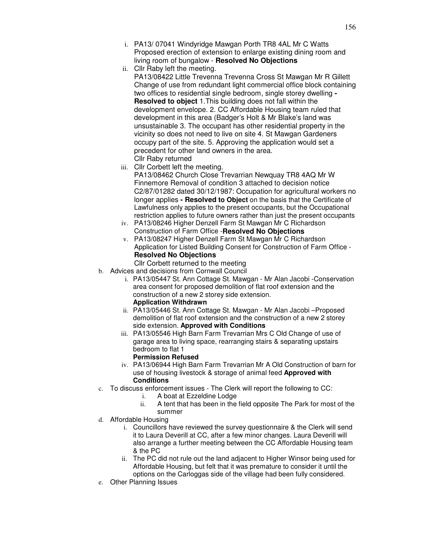- i. PA13/ 07041 Windyridge Mawgan Porth TR8 4AL Mr C Watts Proposed erection of extension to enlarge existing dining room and living room of bungalow - **Resolved No Objections**
- ii. Cllr Raby left the meeting.

PA13/08422 Little Trevenna Trevenna Cross St Mawgan Mr R Gillett Change of use from redundant light commercial office block containing two offices to residential single bedroom, single storey dwelling **- Resolved to object** 1.This building does not fall within the development envelope. 2. CC Affordable Housing team ruled that development in this area (Badger's Holt & Mr Blake's land was unsustainable 3. The occupant has other residential property in the vicinity so does not need to live on site 4. St Mawgan Gardeners occupy part of the site. 5. Approving the application would set a precedent for other land owners in the area. Cllr Raby returned

iii. Cllr Corbett left the meeting.

PA13/08462 Church Close Trevarrian Newquay TR8 4AQ Mr W Finnemore Removal of condition 3 attached to decision notice C2/87/01282 dated 30/12/1987: Occupation for agricultural workers no longer applies **- Resolved to Object** on the basis that the Certificate of Lawfulness only applies to the present occupants, but the Occupational restriction applies to future owners rather than just the present occupants

- iv. PA13/08246 Higher Denzell Farm St Mawgan Mr C Richardson Construction of Farm Office -**Resolved No Objections**
- v. PA13/08247 Higher Denzell Farm St Mawgan Mr C Richardson Application for Listed Building Consent for Construction of Farm Office - **Resolved No Objections** 
	- Cllr Corbett returned to the meeting
- b. Advices and decisions from Cornwall Council
	- i. PA13/05447 St. Ann Cottage St. Mawgan Mr Alan Jacobi -Conservation area consent for proposed demolition of flat roof extension and the construction of a new 2 storey side extension.

# **Application Withdrawn**

- ii. PA13/05446 St. Ann Cottage St. Mawgan Mr Alan Jacobi –Proposed demolition of flat roof extension and the construction of a new 2 storey side extension. **Approved with Conditions**
- iii. PA13/05546 High Barn Farm Trevarrian Mrs C Old Change of use of garage area to living space, rearranging stairs & separating upstairs bedroom to flat 1

# **Permission Refused**

- iv. PA13/06944 High Barn Farm Trevarrian Mr A Old Construction of barn for use of housing livestock & storage of animal feed **Approved with Conditions**
- c. To discuss enforcement issues The Clerk will report the following to CC:
	- i. A boat at Ezzeldine Lodge
	- ii. A tent that has been in the field opposite The Park for most of the summer
- d. Affordable Housing
	- i. Councillors have reviewed the survey questionnaire & the Clerk will send it to Laura Deverill at CC, after a few minor changes. Laura Deverill will also arrange a further meeting between the CC Affordable Housing team & the PC
	- ii. The PC did not rule out the land adjacent to Higher Winsor being used for Affordable Housing, but felt that it was premature to consider it until the options on the Carloggas side of the village had been fully considered.
- e. Other Planning Issues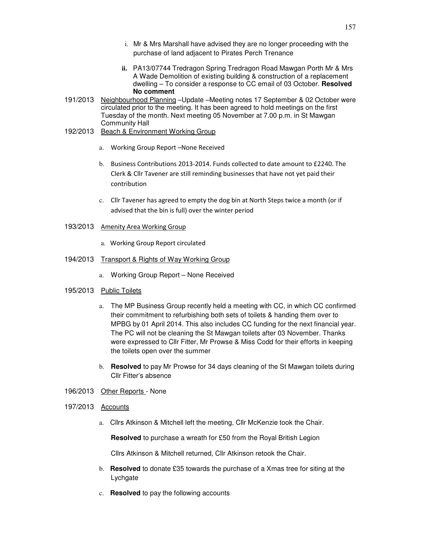- i. Mr & Mrs Marshall have advised they are no longer proceeding with the purchase of land adjacent to Pirates Perch Trenance
- **ii.** PA13/07744 Tredragon Spring Tredragon Road Mawgan Porth Mr & Mrs A Wade Demolition of existing building & construction of a replacement dwelling – To consider a response to CC email of 03 October. **Resolved No comment**
- 191/2013 Neighbourhood Planning –Update –Meeting notes 17 September & 02 October were circulated prior to the meeting. It has been agreed to hold meetings on the first Tuesday of the month. Next meeting 05 November at 7.00 p.m. in St Mawgan Community Hall
- 192/2013 Beach & Environment Working Group
	- a. Working Group Report –None Received
	- b. Business Contributions 2013-2014. Funds collected to date amount to £2240. The Clerk & Cllr Tavener are still reminding businesses that have not yet paid their contribution
	- c. Cllr Tavener has agreed to empty the dog bin at North Steps twice a month (or if advised that the bin is full) over the winter period

### 193/2013 Amenity Area Working Group

a. Working Group Report circulated

#### 194/2013 Transport & Rights of Way Working Group

a. Working Group Report – None Received

### 195/2013 Public Toilets

- a. The MP Business Group recently held a meeting with CC, in which CC confirmed their commitment to refurbishing both sets of toilets & handing them over to MPBG by 01 April 2014. This also includes CC funding for the next financial year. The PC will not be cleaning the St Mawgan toilets after 03 November. Thanks were expressed to Cllr Fitter, Mr Prowse & Miss Codd for their efforts in keeping the toilets open over the summer
- b. **Resolved** to pay Mr Prowse for 34 days cleaning of the St Mawgan toilets during Cllr Fitter's absence
- 196/2013 Other Reports None

#### 197/2013 Accounts

a. Cllrs Atkinson & Mitchell left the meeting, Cllr McKenzie took the Chair.

**Resolved** to purchase a wreath for £50 from the Royal British Legion

Cllrs Atkinson & Mitchell returned, Cllr Atkinson retook the Chair.

- b. **Resolved** to donate £35 towards the purchase of a Xmas tree for siting at the **Lychgate**
- c. **Resolved** to pay the following accounts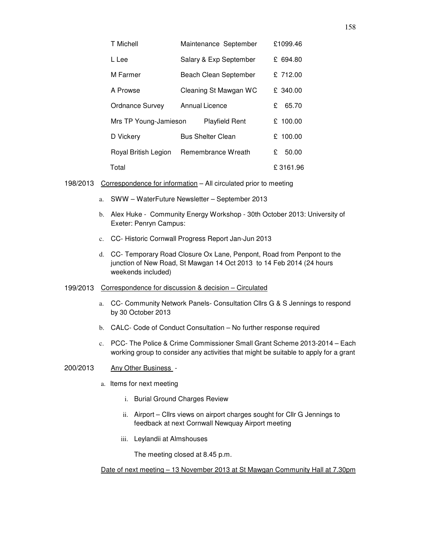| T Michell              | Maintenance September    |  |  |   |          |          | £1099.46 |
|------------------------|--------------------------|--|--|---|----------|----------|----------|
| L Lee                  | Salary & Exp September   |  |  |   |          |          | £ 694.80 |
| M Farmer               | Beach Clean September    |  |  |   |          |          | £ 712.00 |
| A Prowse               | Cleaning St Mawgan WC    |  |  |   |          |          | £ 340.00 |
| <b>Ordnance Survey</b> | <b>Annual Licence</b>    |  |  |   | £        |          | 65.70    |
| Mrs TP Young-Jamieson  | <b>Playfield Rent</b>    |  |  |   |          | £ 100.00 |          |
| D Vickery              | <b>Bus Shelter Clean</b> |  |  |   |          |          | £ 100.00 |
| Royal British Legion   | Remembrance Wreath       |  |  | £ |          | 50.00    |          |
| Total                  |                          |  |  |   | £3161.96 |          |          |

- 198/2013 Correspondence for information All circulated prior to meeting
	- a. SWW WaterFuture Newsletter September 2013
	- b. Alex Huke Community Energy Workshop 30th October 2013: University of Exeter: Penryn Campus:
	- c. CC- Historic Cornwall Progress Report Jan-Jun 2013
	- d. CC- Temporary Road Closure Ox Lane, Penpont, Road from Penpont to the junction of New Road, St Mawgan 14 Oct 2013 to 14 Feb 2014 (24 hours weekends included)

# 199/2013 Correspondence for discussion & decision – Circulated

- a. CC- Community Network Panels- Consultation Cllrs G & S Jennings to respond by 30 October 2013
- b. CALC- Code of Conduct Consultation No further response required
- c. PCC- The Police & Crime Commissioner Small Grant Scheme 2013-2014 Each working group to consider any activities that might be suitable to apply for a grant

### 200/2013 Any Other Business -

- a. Items for next meeting
	- i. Burial Ground Charges Review
	- ii. Airport Cllrs views on airport charges sought for Cllr G Jennings to feedback at next Cornwall Newquay Airport meeting
	- iii. Leylandii at Almshouses

The meeting closed at 8.45 p.m.

Date of next meeting – 13 November 2013 at St Mawgan Community Hall at 7.30pm